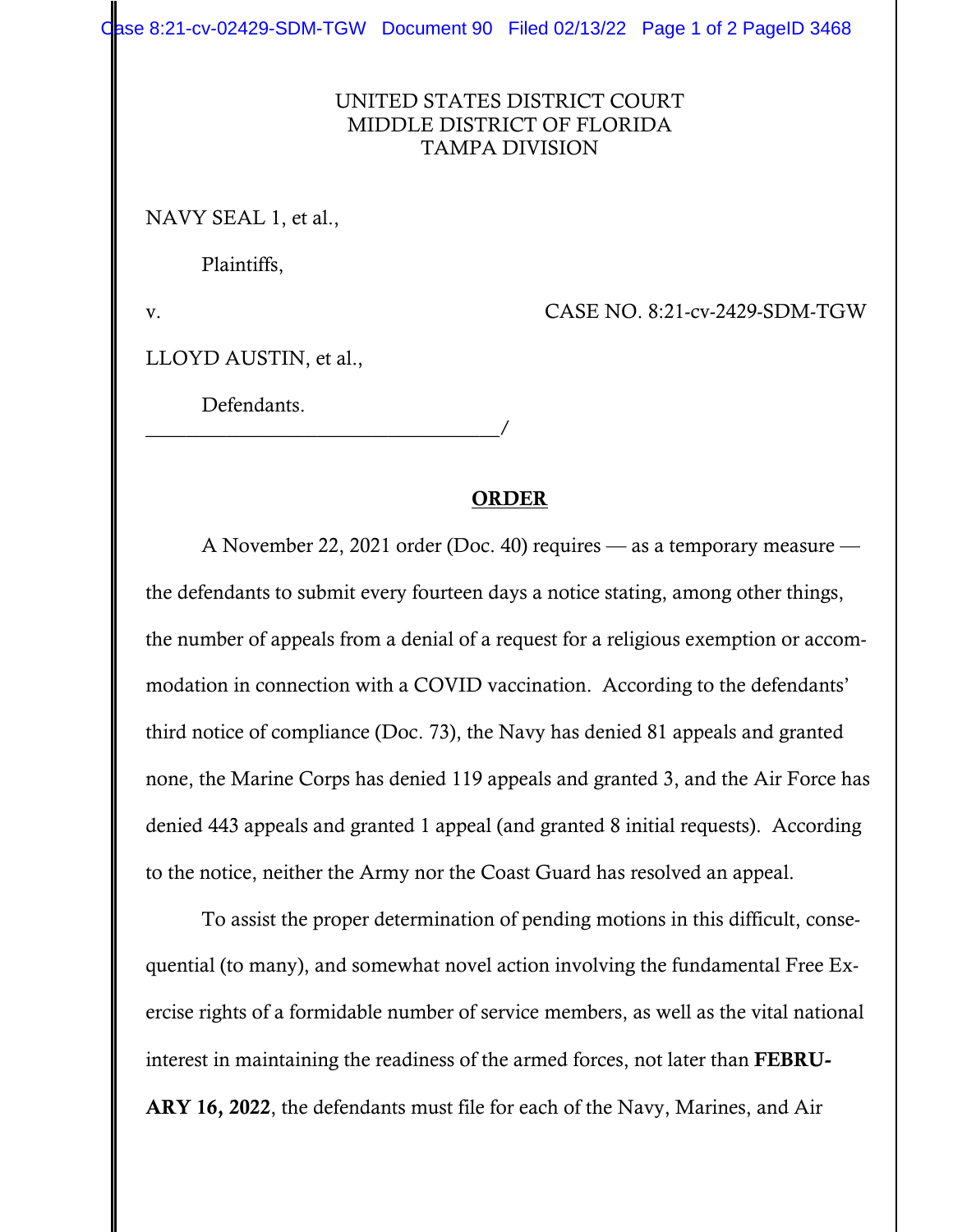Case 8:21-cv-02429-SDM-TGW Document 90 Filed 02/13/22 Page 1 of 2 PageID 3468

## UNITED STATES DISTRICT COURT MIDDLE DISTRICT OF FLORIDA TAMPA DIVISION

NAVY SEAL 1, et al.,

Plaintiffs,

v. CASE NO. 8:21-cv-2429-SDM-TGW

LLOYD AUSTIN, et al.,

Defendants.

\_\_\_\_\_\_\_\_\_\_\_\_\_\_\_\_\_\_\_\_\_\_\_\_\_\_\_\_\_\_\_\_\_\_\_/

## ORDER

 A November 22, 2021 order (Doc. 40) requires — as a temporary measure the defendants to submit every fourteen days a notice stating, among other things, the number of appeals from a denial of a request for a religious exemption or accommodation in connection with a COVID vaccination. According to the defendants' third notice of compliance (Doc. 73), the Navy has denied 81 appeals and granted none, the Marine Corps has denied 119 appeals and granted 3, and the Air Force has denied 443 appeals and granted 1 appeal (and granted 8 initial requests). According to the notice, neither the Army nor the Coast Guard has resolved an appeal.

 To assist the proper determination of pending motions in this difficult, consequential (to many), and somewhat novel action involving the fundamental Free Exercise rights of a formidable number of service members, as well as the vital national interest in maintaining the readiness of the armed forces, not later than FEBRU-ARY 16, 2022, the defendants must file for each of the Navy, Marines, and Air